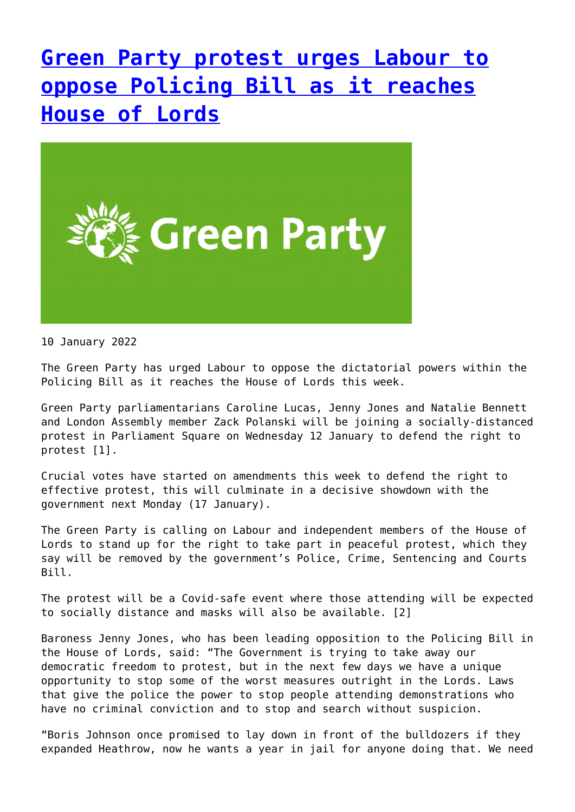## **[Green Party protest urges Labour to](http://www.government-world.com/green-party-protest-urges-labour-to-oppose-policing-bill-as-it-reaches-house-of-lords/) [oppose Policing Bill as it reaches](http://www.government-world.com/green-party-protest-urges-labour-to-oppose-policing-bill-as-it-reaches-house-of-lords/) [House of Lords](http://www.government-world.com/green-party-protest-urges-labour-to-oppose-policing-bill-as-it-reaches-house-of-lords/)**



10 January 2022

The Green Party has urged Labour to oppose the dictatorial powers within the Policing Bill as it reaches the House of Lords this week.

Green Party parliamentarians Caroline Lucas, Jenny Jones and Natalie Bennett and London Assembly member Zack Polanski will be joining a socially-distanced protest in Parliament Square on Wednesday 12 January to defend the right to protest [1].

Crucial votes have started on amendments this week to defend the right to effective protest, this will culminate in a decisive showdown with the government next Monday (17 January).

The Green Party is calling on Labour and independent members of the House of Lords to stand up for the right to take part in peaceful protest, which they say will be removed by the government's Police, Crime, Sentencing and Courts Bill.

The protest will be a Covid-safe event where those attending will be expected to socially distance and masks will also be available. [2]

Baroness Jenny Jones, who has been leading opposition to the Policing Bill in the House of Lords, said: "The Government is trying to take away our democratic freedom to protest, but in the next few days we have a unique opportunity to stop some of the worst measures outright in the Lords. Laws that give the police the power to stop people attending demonstrations who have no criminal conviction and to stop and search without suspicion.

"Boris Johnson once promised to lay down in front of the bulldozers if they expanded Heathrow, now he wants a year in jail for anyone doing that. We need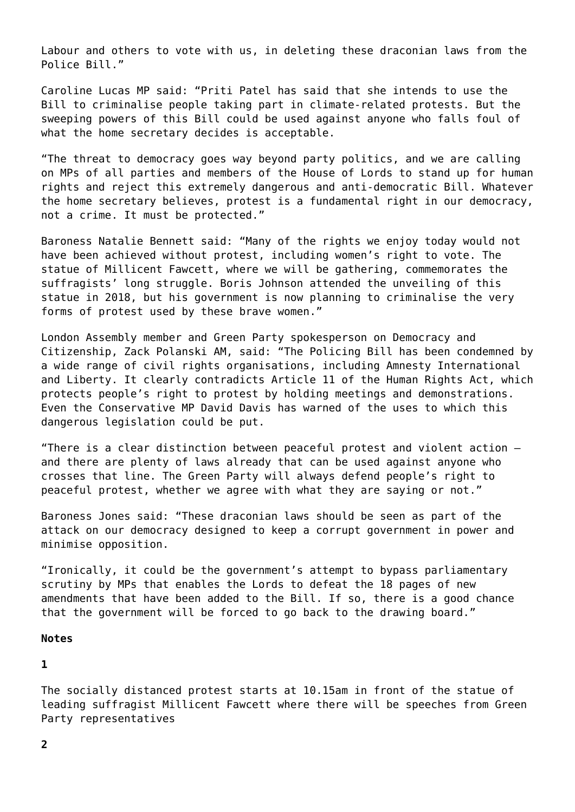Labour and others to vote with us, in deleting these draconian laws from the Police Bill."

Caroline Lucas MP said: "Priti Patel has said that she intends to use the Bill to criminalise people taking part in climate-related protests. But the sweeping powers of this Bill could be used against anyone who falls foul of what the home secretary decides is acceptable.

"The threat to democracy goes way beyond party politics, and we are calling on MPs of all parties and members of the House of Lords to stand up for human rights and reject this extremely dangerous and anti-democratic Bill. Whatever the home secretary believes, protest is a fundamental right in our democracy, not a crime. It must be protected."

Baroness Natalie Bennett said: "Many of the rights we enjoy today would not have been achieved without protest, including women's right to vote. The statue of Millicent Fawcett, where we will be gathering, commemorates the suffragists' long struggle. Boris Johnson attended the unveiling of this statue in 2018, but his government is now planning to criminalise the very forms of protest used by these brave women."

London Assembly member and Green Party spokesperson on Democracy and Citizenship, Zack Polanski AM, said: "The Policing Bill has been condemned by a wide range of civil rights organisations, including Amnesty International and Liberty. It clearly contradicts Article 11 of the Human Rights Act, which protects people's right to protest by holding meetings and demonstrations. Even the Conservative MP David Davis has warned of the uses to which this dangerous legislation could be put.

"There is a clear distinction between peaceful protest and violent action – and there are plenty of laws already that can be used against anyone who crosses that line. The Green Party will always defend people's right to peaceful protest, whether we agree with what they are saying or not."

Baroness Jones said: "These draconian laws should be seen as part of the attack on our democracy designed to keep a corrupt government in power and minimise opposition.

"Ironically, it could be the government's attempt to bypass parliamentary scrutiny by MPs that enables the Lords to defeat the 18 pages of new amendments that have been added to the Bill. If so, there is a good chance that the government will be forced to go back to the drawing board."

## **Notes**

**1**

The socially distanced protest starts at 10.15am in front of the statue of leading suffragist Millicent Fawcett where there will be speeches from Green Party representatives